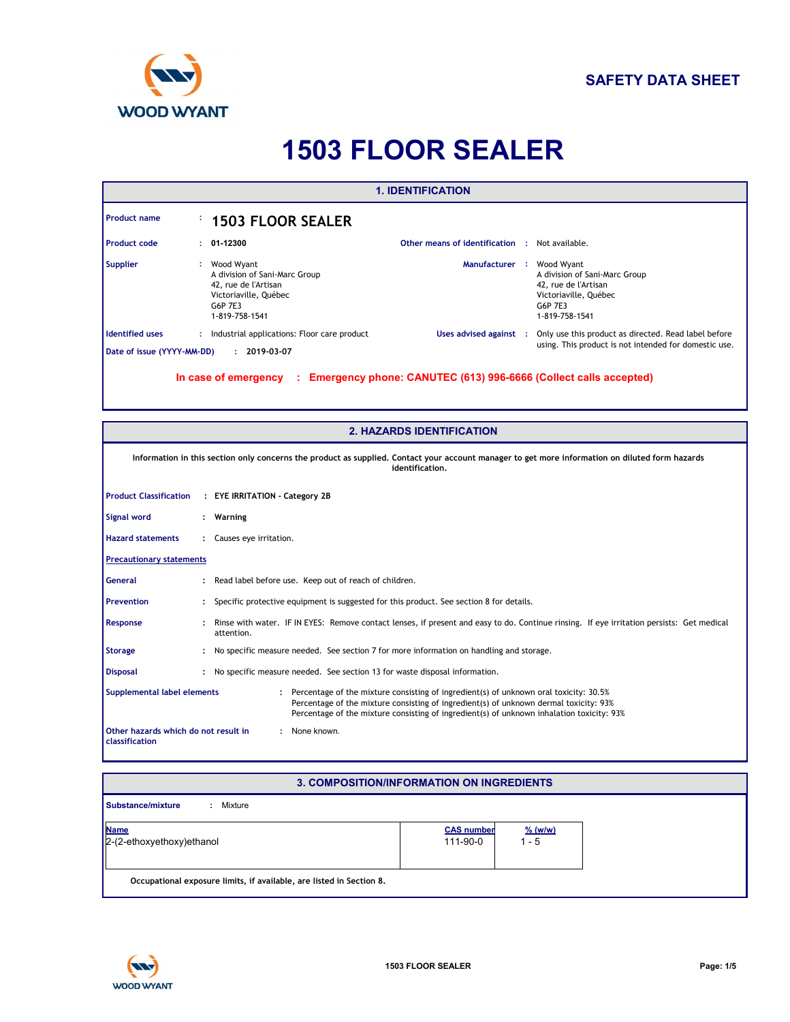

# **1503 FLOOR SEALER**

| <b>1. IDENTIFICATION</b>                                                                                                                                                                                                                                                                                     |                                                                                                                                                                                                                                                                          |  |  |  |  |
|--------------------------------------------------------------------------------------------------------------------------------------------------------------------------------------------------------------------------------------------------------------------------------------------------------------|--------------------------------------------------------------------------------------------------------------------------------------------------------------------------------------------------------------------------------------------------------------------------|--|--|--|--|
| <b>Product name</b>                                                                                                                                                                                                                                                                                          | <b>1503 FLOOR SEALER</b>                                                                                                                                                                                                                                                 |  |  |  |  |
| <b>Product code</b>                                                                                                                                                                                                                                                                                          | 01-12300<br><b>Other means of identification : Not available.</b>                                                                                                                                                                                                        |  |  |  |  |
| <b>Supplier</b>                                                                                                                                                                                                                                                                                              | Wood Wyant<br>Manufacturer :<br>Wood Wyant<br>A division of Sani-Marc Group<br>A division of Sani-Marc Group<br>42, rue de l'Artisan<br>42, rue de l'Artisan<br>Victoriaville, Québec<br>Victoriaville, Québec<br>G6P 7E3<br>G6P 7E3<br>1-819-758-1541<br>1-819-758-1541 |  |  |  |  |
| <b>Identified uses</b>                                                                                                                                                                                                                                                                                       | : Industrial applications: Floor care product<br>Uses advised against :<br>Only use this product as directed. Read label before<br>using. This product is not intended for domestic use.                                                                                 |  |  |  |  |
| Date of issue (YYYY-MM-DD)                                                                                                                                                                                                                                                                                   | $: 2019-03-07$                                                                                                                                                                                                                                                           |  |  |  |  |
|                                                                                                                                                                                                                                                                                                              | In case of emergency : Emergency phone: CANUTEC (613) 996-6666 (Collect calls accepted)                                                                                                                                                                                  |  |  |  |  |
|                                                                                                                                                                                                                                                                                                              | <b>2. HAZARDS IDENTIFICATION</b>                                                                                                                                                                                                                                         |  |  |  |  |
|                                                                                                                                                                                                                                                                                                              | Information in this section only concerns the product as supplied. Contact your account manager to get more information on diluted form hazards<br>identification.                                                                                                       |  |  |  |  |
| <b>Product Classification</b>                                                                                                                                                                                                                                                                                | : EYE IRRITATION - Category 2B                                                                                                                                                                                                                                           |  |  |  |  |
| <b>Signal word</b>                                                                                                                                                                                                                                                                                           | : Warning                                                                                                                                                                                                                                                                |  |  |  |  |
| <b>Hazard statements</b>                                                                                                                                                                                                                                                                                     | : Causes eye irritation.                                                                                                                                                                                                                                                 |  |  |  |  |
| <b>Precautionary statements</b>                                                                                                                                                                                                                                                                              |                                                                                                                                                                                                                                                                          |  |  |  |  |
| <b>General</b>                                                                                                                                                                                                                                                                                               | Read label before use. Keep out of reach of children.                                                                                                                                                                                                                    |  |  |  |  |
| <b>Prevention</b>                                                                                                                                                                                                                                                                                            | Specific protective equipment is suggested for this product. See section 8 for details.                                                                                                                                                                                  |  |  |  |  |
| Response                                                                                                                                                                                                                                                                                                     | : Rinse with water. IF IN EYES: Remove contact lenses, if present and easy to do. Continue rinsing. If eye irritation persists: Get medical<br>attention.                                                                                                                |  |  |  |  |
| <b>Storage</b>                                                                                                                                                                                                                                                                                               | : No specific measure needed. See section 7 for more information on handling and storage.                                                                                                                                                                                |  |  |  |  |
| <b>Disposal</b>                                                                                                                                                                                                                                                                                              | : No specific measure needed. See section 13 for waste disposal information.                                                                                                                                                                                             |  |  |  |  |
| Supplemental label elements<br>: Percentage of the mixture consisting of ingredient(s) of unknown oral toxicity: 30.5%<br>Percentage of the mixture consisting of ingredient(s) of unknown dermal toxicity: 93%<br>Percentage of the mixture consisting of ingredient(s) of unknown inhalation toxicity: 93% |                                                                                                                                                                                                                                                                          |  |  |  |  |
| Other hazards which do not result in<br>: None known.<br>classification                                                                                                                                                                                                                                      |                                                                                                                                                                                                                                                                          |  |  |  |  |

#### **3. COMPOSITION/INFORMATION ON INGREDIENTS**

| Substance/mixture<br>Mixture                                         |                               |                              |
|----------------------------------------------------------------------|-------------------------------|------------------------------|
| <b>Name</b><br>$2-(2-ethoxyethoxy)ethanol$                           | <b>CAS number</b><br>111-90-0 | $\frac{9}{6}$ (w/w)<br>1 - 5 |
| Occupational exposure limits, if available, are listed in Section 8. |                               |                              |

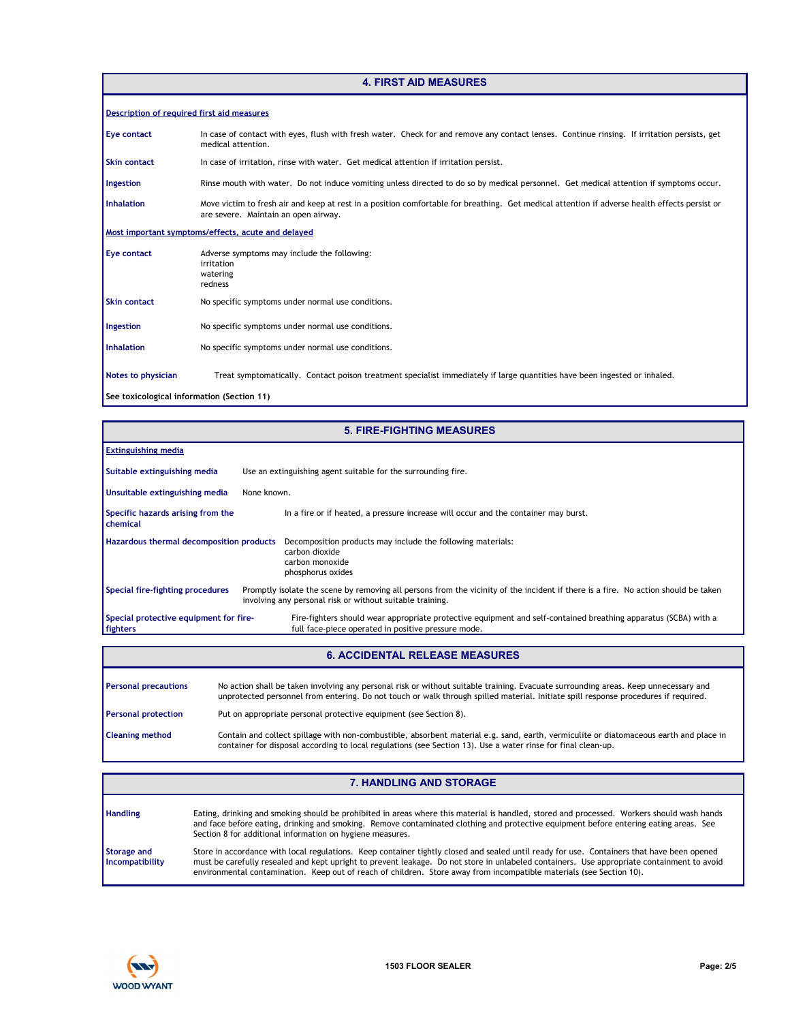# **4. FIRST AID MEASURES**

| Description of required first aid measures |                                                                                                                                                                                       |
|--------------------------------------------|---------------------------------------------------------------------------------------------------------------------------------------------------------------------------------------|
| Eye contact                                | In case of contact with eyes, flush with fresh water. Check for and remove any contact lenses. Continue rinsing. If irritation persists, get<br>medical attention.                    |
| <b>Skin contact</b>                        | In case of irritation, rinse with water. Get medical attention if irritation persist.                                                                                                 |
| Ingestion                                  | Rinse mouth with water. Do not induce vomiting unless directed to do so by medical personnel. Get medical attention if symptoms occur.                                                |
| <b>Inhalation</b>                          | Move victim to fresh air and keep at rest in a position comfortable for breathing. Get medical attention if adverse health effects persist or<br>are severe. Maintain an open airway. |
|                                            | Most important symptoms/effects, acute and delayed                                                                                                                                    |
| <b>Eye contact</b>                         | Adverse symptoms may include the following:<br>irritation<br>watering<br>redness                                                                                                      |
| <b>Skin contact</b>                        | No specific symptoms under normal use conditions.                                                                                                                                     |
| Ingestion                                  | No specific symptoms under normal use conditions.                                                                                                                                     |
| <b>Inhalation</b>                          | No specific symptoms under normal use conditions.                                                                                                                                     |
| Notes to physician                         | Treat symptomatically. Contact poison treatment specialist immediately if large quantities have been ingested or inhaled.                                                             |
| See toxicological information (Section 11) |                                                                                                                                                                                       |

| <b>5. FIRE-FIGHTING MEASURES</b>                   |                                                                                                                                                                                                 |  |  |  |
|----------------------------------------------------|-------------------------------------------------------------------------------------------------------------------------------------------------------------------------------------------------|--|--|--|
| <b>Extinguishing media</b>                         |                                                                                                                                                                                                 |  |  |  |
| Suitable extinguishing media                       | Use an extinguishing agent suitable for the surrounding fire.                                                                                                                                   |  |  |  |
| Unsuitable extinguishing media                     | None known.                                                                                                                                                                                     |  |  |  |
| Specific hazards arising from the<br>chemical      | In a fire or if heated, a pressure increase will occur and the container may burst.                                                                                                             |  |  |  |
| Hazardous thermal decomposition products           | Decomposition products may include the following materials:<br>carbon dioxide<br>carbon monoxide<br>phosphorus oxides                                                                           |  |  |  |
| Special fire-fighting procedures                   | Promptly isolate the scene by removing all persons from the vicinity of the incident if there is a fire. No action should be taken<br>involving any personal risk or without suitable training. |  |  |  |
| Special protective equipment for fire-<br>fighters | Fire-fighters should wear appropriate protective equipment and self-contained breathing apparatus (SCBA) with a<br>full face-piece operated in positive pressure mode.                          |  |  |  |
| <b>6. ACCIDENTAL RELEASE MEASURES</b>              |                                                                                                                                                                                                 |  |  |  |

| <b>Personal precautions</b> | No action shall be taken involving any personal risk or without suitable training. Evacuate surrounding areas. Keep unnecessary and<br>unprotected personnel from entering. Do not touch or walk through spilled material. Initiate spill response procedures if required. |
|-----------------------------|----------------------------------------------------------------------------------------------------------------------------------------------------------------------------------------------------------------------------------------------------------------------------|
| <b>Personal protection</b>  | Put on appropriate personal protective equipment (see Section 8).                                                                                                                                                                                                          |
| <b>Cleaning method</b>      | Contain and collect spillage with non-combustible, absorbent material e.g. sand, earth, vermiculite or diatomaceous earth and place in<br>container for disposal according to local regulations (see Section 13). Use a water rinse for final clean-up.                    |

# **7. HANDLING AND STORAGE**

| <b>Handling</b>                | Eating, drinking and smoking should be prohibited in areas where this material is handled, stored and processed. Workers should wash hands<br>and face before eating, drinking and smoking. Remove contaminated clothing and protective equipment before entering eating areas. See<br>Section 8 for additional information on hygiene measures.                                                                 |
|--------------------------------|------------------------------------------------------------------------------------------------------------------------------------------------------------------------------------------------------------------------------------------------------------------------------------------------------------------------------------------------------------------------------------------------------------------|
| Storage and<br>Incompatibility | Store in accordance with local regulations. Keep container tightly closed and sealed until ready for use. Containers that have been opened<br>must be carefully resealed and kept upright to prevent leakage. Do not store in unlabeled containers. Use appropriate containment to avoid<br>environmental contamination. Keep out of reach of children. Store away from incompatible materials (see Section 10). |

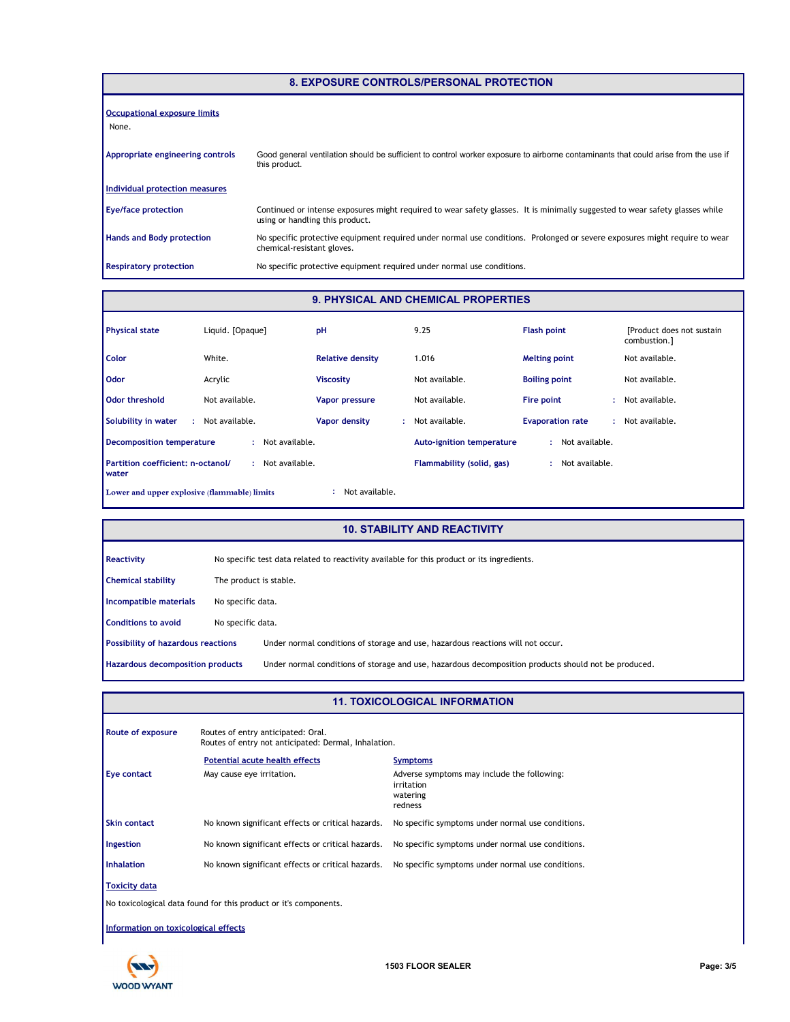| <b>8. EXPOSURE CONTROLS/PERSONAL PROTECTION</b> |                                                                                                                                                                 |  |  |
|-------------------------------------------------|-----------------------------------------------------------------------------------------------------------------------------------------------------------------|--|--|
| <b>Occupational exposure limits</b><br>None.    |                                                                                                                                                                 |  |  |
| Appropriate engineering controls                | Good general ventilation should be sufficient to control worker exposure to airborne contaminants that could arise from the use if<br>this product.             |  |  |
| Individual protection measures                  |                                                                                                                                                                 |  |  |
| <b>Eye/face protection</b>                      | Continued or intense exposures might required to wear safety glasses. It is minimally suggested to wear safety glasses while<br>using or handling this product. |  |  |
| <b>Hands and Body protection</b>                | No specific protective equipment required under normal use conditions. Prolonged or severe exposures might require to wear<br>chemical-resistant gloves.        |  |  |
| <b>Respiratory protection</b>                   | No specific protective equipment required under normal use conditions.                                                                                          |  |  |

### **9. PHYSICAL AND CHEMICAL PROPERTIES**

| <b>Physical state</b>                                          | Liquid. [Opaque] | pH                      | 9.25                             | <b>Flash point</b>      | [Product does not sustain]<br>combustion.] |
|----------------------------------------------------------------|------------------|-------------------------|----------------------------------|-------------------------|--------------------------------------------|
| Color                                                          | White.           | <b>Relative density</b> | 1.016                            | <b>Melting point</b>    | Not available.                             |
| <b>Odor</b>                                                    | Acrylic          | <b>Viscosity</b>        | Not available.                   | <b>Boiling point</b>    | Not available.                             |
| Odor threshold                                                 | Not available.   | Vapor pressure          | Not available.                   | Fire point              | : Not available.                           |
| Solubility in water<br>÷                                       | Not available.   | Vapor density<br>÷.     | Not available.                   | <b>Evaporation rate</b> | Not available.                             |
| <b>Decomposition temperature</b>                               | Not available.   |                         | <b>Auto-ignition temperature</b> | Not available.          |                                            |
| Partition coefficient: n-octanol/<br>water                     | Not available.   |                         | Flammability (solid, gas)        | Not available.          |                                            |
| Not available.<br>Lower and upper explosive (flammable) limits |                  |                         |                                  |                         |                                            |

# **10. STABILITY AND REACTIVITY**

| Reactivity                         |                   | No specific test data related to reactivity available for this product or its ingredients.           |  |  |
|------------------------------------|-------------------|------------------------------------------------------------------------------------------------------|--|--|
| <b>Chemical stability</b>          |                   | The product is stable.                                                                               |  |  |
| Incompatible materials             |                   | No specific data.                                                                                    |  |  |
| <b>Conditions to avoid</b>         | No specific data. |                                                                                                      |  |  |
| Possibility of hazardous reactions |                   | Under normal conditions of storage and use, hazardous reactions will not occur.                      |  |  |
| Hazardous decomposition products   |                   | Under normal conditions of storage and use, hazardous decomposition products should not be produced. |  |  |

#### **11. TOXICOLOGICAL INFORMATION**

| Route of exposure                                                | Routes of entry anticipated: Oral.                   |                                                   |  |  |  |  |
|------------------------------------------------------------------|------------------------------------------------------|---------------------------------------------------|--|--|--|--|
|                                                                  | Routes of entry not anticipated: Dermal, Inhalation. |                                                   |  |  |  |  |
|                                                                  | <b>Potential acute health effects</b>                | <b>Symptoms</b>                                   |  |  |  |  |
| Eye contact                                                      | May cause eye irritation.                            | Adverse symptoms may include the following:       |  |  |  |  |
|                                                                  |                                                      | irritation                                        |  |  |  |  |
|                                                                  |                                                      | watering<br>redness                               |  |  |  |  |
|                                                                  |                                                      |                                                   |  |  |  |  |
| <b>Skin contact</b>                                              | No known significant effects or critical hazards.    | No specific symptoms under normal use conditions. |  |  |  |  |
| Ingestion                                                        | No known significant effects or critical hazards.    | No specific symptoms under normal use conditions. |  |  |  |  |
| <b>Inhalation</b>                                                | No known significant effects or critical hazards.    | No specific symptoms under normal use conditions. |  |  |  |  |
| Toxicity data                                                    |                                                      |                                                   |  |  |  |  |
| No toxicological data found for this product or it's components. |                                                      |                                                   |  |  |  |  |
| Information on toxicological effects                             |                                                      |                                                   |  |  |  |  |

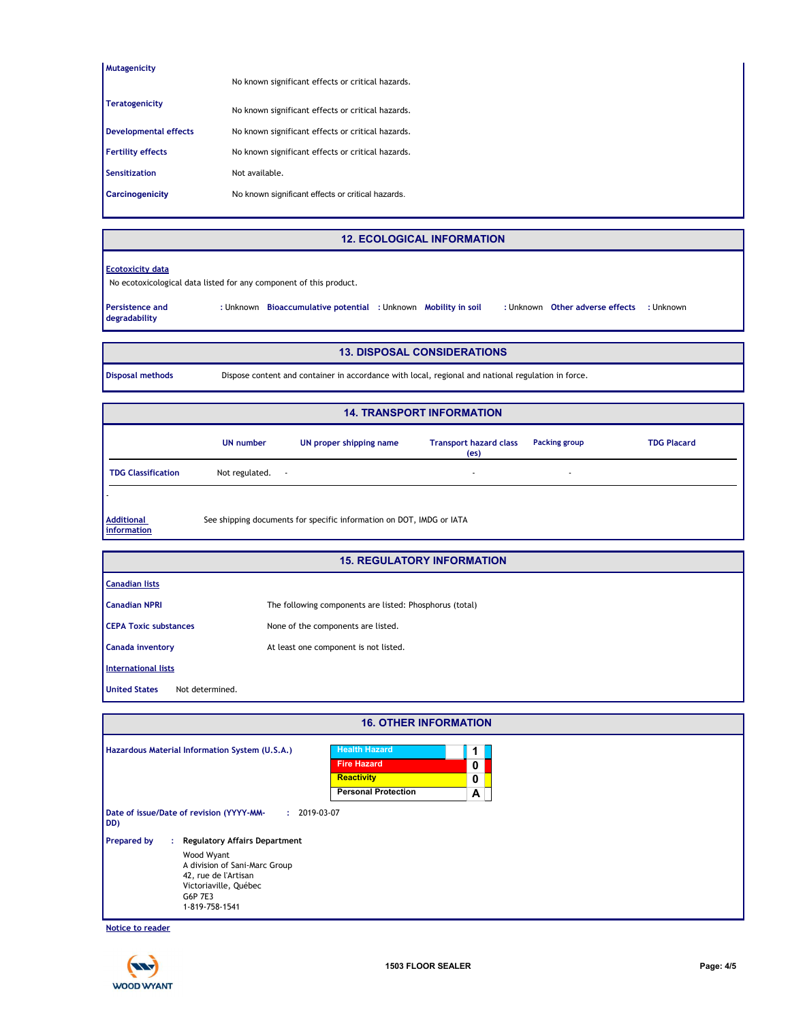| Mutagenicity                 |                                                   |
|------------------------------|---------------------------------------------------|
|                              | No known significant effects or critical hazards. |
|                              |                                                   |
| <b>Teratogenicity</b>        | No known significant effects or critical hazards. |
| <b>Developmental effects</b> | No known significant effects or critical hazards. |
|                              |                                                   |
| <b>Fertility effects</b>     | No known significant effects or critical hazards. |
| <b>Sensitization</b>         | Not available.                                    |
| Carcinogenicity              | No known significant effects or critical hazards. |
|                              |                                                   |

#### **12. ECOLOGICAL INFORMATION**

#### **Ecotoxicity data**

No ecotoxicological data listed for any component of this product.

**Other adverse effects Bioaccumulative potential Mobility in soil :** Unknown **:** Unknown **:** Unknown **:** Unknown **Persistence and degradability**

#### **13. DISPOSAL CONSIDERATIONS**

**Disposal methods** Dispose content and container in accordance with local, regional and national regulation in force.

| <b>14. TRANSPORT INFORMATION</b> |                     |                                                                      |                                                    |                          |                    |
|----------------------------------|---------------------|----------------------------------------------------------------------|----------------------------------------------------|--------------------------|--------------------|
|                                  | <b>UN number</b>    | UN proper shipping name                                              | <b>Transport hazard class</b><br>(e <sub>S</sub> ) | Packing group            | <b>TDG Placard</b> |
| <b>TDG Classification</b>        | Not regulated.<br>٠ |                                                                      | $\sim$                                             | $\overline{\phantom{a}}$ |                    |
|                                  |                     |                                                                      |                                                    |                          |                    |
| <b>Additional</b><br>information |                     | See shipping documents for specific information on DOT, IMDG or IATA |                                                    |                          |                    |

#### **15. REGULATORY INFORMATION**

| <b>Canadian lists</b>                   |                                                         |
|-----------------------------------------|---------------------------------------------------------|
| <b>Canadian NPRI</b>                    | The following components are listed: Phosphorus (total) |
| <b>CEPA Toxic substances</b>            | None of the components are listed.                      |
| Canada inventory                        | At least one component is not listed.                   |
| <b>International lists</b>              |                                                         |
| <b>United States</b><br>Not determined. |                                                         |

|                    |    |                                                                                                                                                                   | <b>16. OTHER INFORMATION</b>                                                           |             |  |
|--------------------|----|-------------------------------------------------------------------------------------------------------------------------------------------------------------------|----------------------------------------------------------------------------------------|-------------|--|
|                    |    | Hazardous Material Information System (U.S.A.)                                                                                                                    | <b>Health Hazard</b><br><b>Fire Hazard</b><br>Reactivity<br><b>Personal Protection</b> | 0<br>0<br>A |  |
| DD)                |    | Date of issue/Date of revision (YYYY-MM-<br>$: 2019-03-07$                                                                                                        |                                                                                        |             |  |
| <b>Prepared by</b> | ÷. | <b>Regulatory Affairs Department</b><br>Wood Wyant<br>A division of Sani-Marc Group<br>42, rue de l'Artisan<br>Victoriaville, Québec<br>G6P 7E3<br>1-819-758-1541 |                                                                                        |             |  |

**Notice to reader**